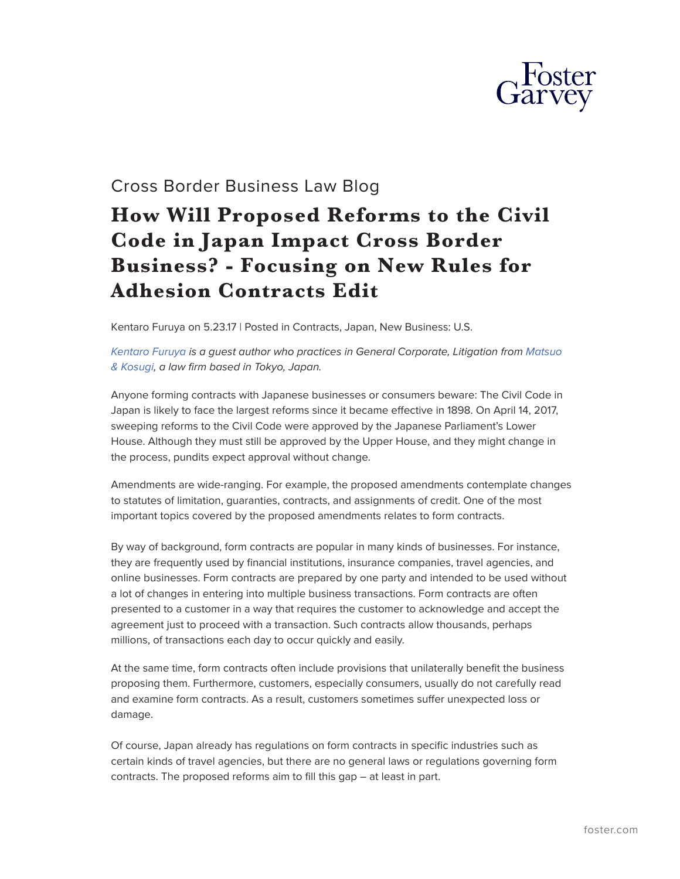

## Cross Border Business Law Blog

# **How Will Proposed Reforms to the Civil Code in Japan Impact Cross Border Business? - Focusing on New Rules for Adhesion Contracts Edit**

Kentaro Furuya on 5.23.17 | Posted in Contracts, Japan, New Business: U.S.

*[Kentaro Furuya](http://www.mknet.jp/en/profile/furuya.html) is a guest author who practices in General Corporate, Litigation from [Matsuo](http://www.mknet.jp/en/index.html) [& Kosugi,](http://www.mknet.jp/en/index.html) a law firm based in Tokyo, Japan.*

Anyone forming contracts with Japanese businesses or consumers beware: The Civil Code in Japan is likely to face the largest reforms since it became effective in 1898. On April 14, 2017, sweeping reforms to the Civil Code were approved by the Japanese Parliament's Lower House. Although they must still be approved by the Upper House, and they might change in the process, pundits expect approval without change.

Amendments are wide-ranging. For example, the proposed amendments contemplate changes to statutes of limitation, guaranties, contracts, and assignments of credit. One of the most important topics covered by the proposed amendments relates to form contracts.

By way of background, form contracts are popular in many kinds of businesses. For instance, they are frequently used by financial institutions, insurance companies, travel agencies, and online businesses. Form contracts are prepared by one party and intended to be used without a lot of changes in entering into multiple business transactions. Form contracts are often presented to a customer in a way that requires the customer to acknowledge and accept the agreement just to proceed with a transaction. Such contracts allow thousands, perhaps millions, of transactions each day to occur quickly and easily.

At the same time, form contracts often include provisions that unilaterally benefit the business proposing them. Furthermore, customers, especially consumers, usually do not carefully read and examine form contracts. As a result, customers sometimes suffer unexpected loss or damage.

Of course, Japan already has regulations on form contracts in specific industries such as certain kinds of travel agencies, but there are no general laws or regulations governing form contracts. The proposed reforms aim to fill this gap – at least in part.